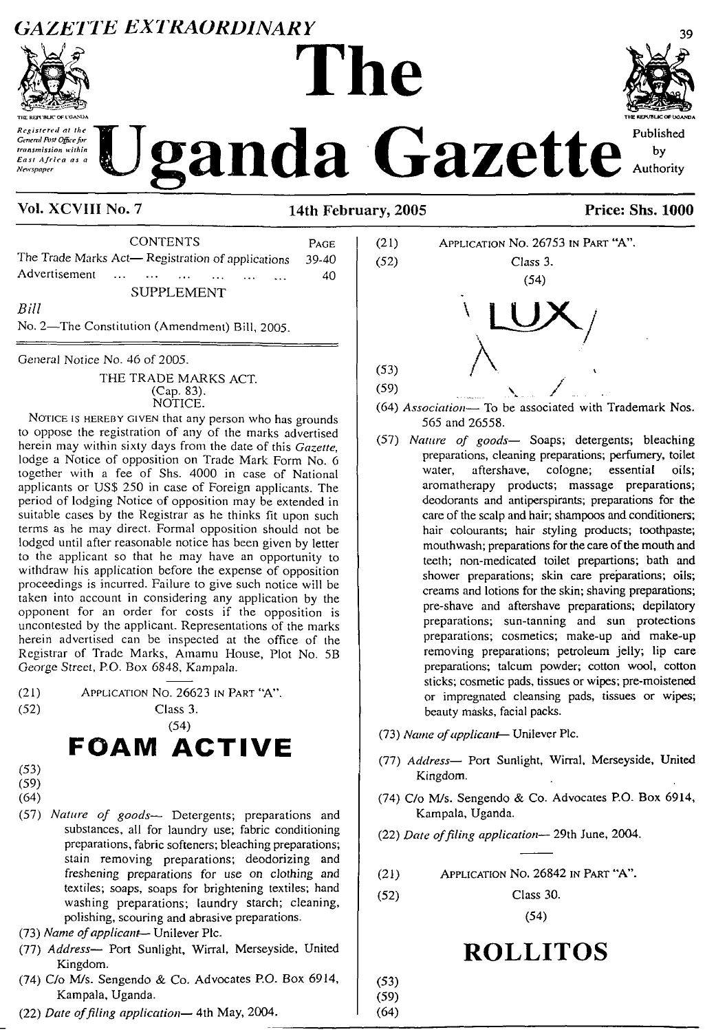#### *GAZETTE EXTRAORDINARY*



*Registered at the General f\)st Officefi»r transmission within East Africa as <sup>a</sup> Newspaper*

# **The** anda Gazette



by Authority

#### **Vol. XCVIII No. 7 14th February, 2005 Price: Shs. 1000**

CONTENTS Page The Trade Marks Act— Registration of applications 39-40 Advertisement ... ... ... ... ... ... 40 SUPPLEMENT *Bill*

No. 2—The Constitution (Amendment) Bill, 2005.

General Notice No. 46 of 2005.

#### THE TRADE MARKS ACT. (Cap. 83). NOTICE.

NOTICE IS HEREBY GIVEN that any person who has grounds to oppose the registration of any of the marks advertised herein may within sixty days from the date of this *Gazette,* lodge a Notice of opposition on Trade Mark Form No. 6 together with a fee of Shs. 4000 in case of National applicants or USS 250 in case of Foreign applicants. The period of lodging Notice of opposition may be extended in suitable cases by the Registrar as he thinks fit upon such terms as he may direct. Formal opposition should not be lodged until after reasonable notice has been given by letter to the applicant so that he may have an opportunity to withdraw his application before the expense of opposition proceedings is incurred. Failure to give such notice will be taken into account in considering any application by the opponent for an order for costs if the opposition is uncontested by the applicant. Representations of the marks herein advertised can be inspected at the office of the Registrar of Trade Marks, Amamu House, Plot No. 5B George Street, P.O. Box 6848, Kampala.

- (21) Application No. 26623 in Part "A".
- (52) Class 3.

#### (54) FOAM ACTIVE

- (53)
- (59)
- (64)
- (57) *Nature of goods—* Detergents; preparations and substances, all for laundry use; fabric conditioning preparations, fabric softeners; bleaching preparations; stain removing preparations; deodorizing and freshening preparations for use on clothing and textiles; soaps, soaps for brightening textiles; hand washing preparations; laundry starch; cleaning, polishing, scouring and abrasive preparations.
- (73) *Name ofapplicant—* Unilever Plc.
- (77) *Address—* Port Sunlight, Wirral, Merseyside, United Kingdom.
- (74) C/o M/s. Sengendo & Co. Advocates P.O. Box 6914, Kampala, Uganda.
- (22) *Date offiling application—* 4th May, 2004.



- (64) Association- To be associated with Trademark Nos. 565 and 26558.
- (57) *Nature of goods—* Soaps; detergents; bleaching preparations, cleaning preparations; perfumery, toilet water, aftershave, cologne; essential oils; aromatherapy products; massage preparations; deodorants and antiperspirants; preparations for the care of the scalp and hair; shampoos and conditioners; hair colourants; hair styling products; toothpaste; mouthwash; preparations for the care of the mouth and teeth; non-medicated toilet prepartions; bath and shower preparations; skin care preparations; oils; creams and lotions for the skin; shaving preparations; pre-shave and aftershave preparations; depilatory preparations; sun-tanning and sun protections preparations; cosmetics; make-up and make-up removing preparations; petroleum jelly; lip care preparations; talcum powder; cotton wool, cotton sticks; cosmetic pads, tissues or wipes; pre-moistened or impregnated cleansing pads, tissues or wipes; beauty masks, facial packs.
- (73) *Name ofapplicant* Unilever Pic.
- (77) *Address—* Port Sunlight, Wirral, Merseyside, United Kingdom.
- (74) C/o M/s. Sengendo & Co. Advocates P.O. Box 6914, Kampala, Uganda.
- (22) *Date offiling application—* 29th June, 2004.
- (21) Application No. 26842 in Part "A".
- (52) Class 30.

(54)

## **ROLLITOS**

(53) (59) (64)